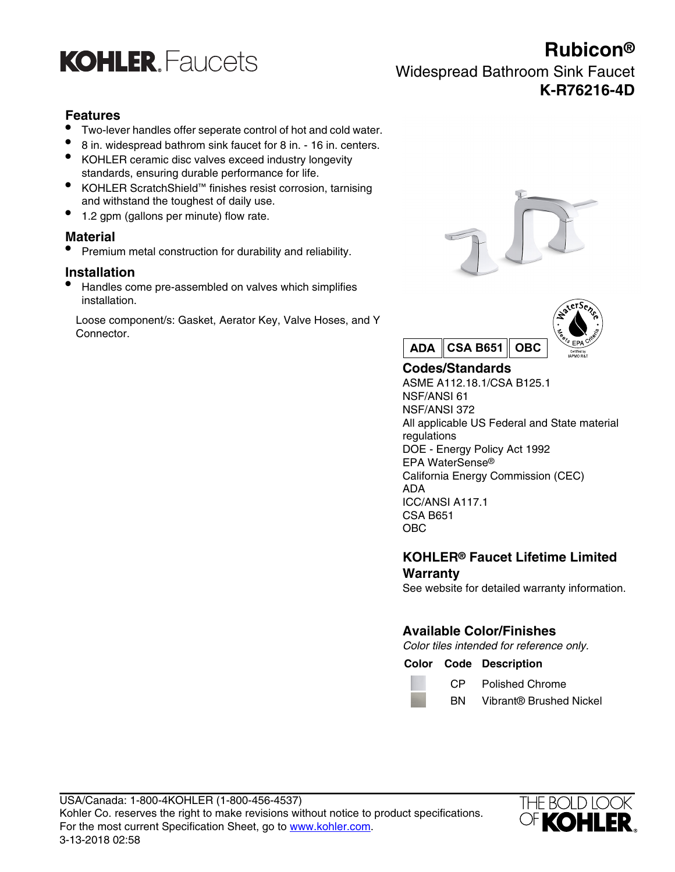

# **Rubicon®** Widespread Bathroom Sink Faucet **K-R76216-4D**

### **Features**

- Two-lever handles offer seperate control of hot and cold water.
- 8 in. widespread bathrom sink faucet for 8 in. 16 in. centers.
- KOHLER ceramic disc valves exceed industry longevity standards, ensuring durable performance for life.
- KOHLER ScratchShield™ finishes resist corrosion, tarnising and withstand the toughest of daily use.
- 1.2 gpm (gallons per minute) flow rate.

#### **Material**

• Premium metal construction for durability and reliability.

#### **Installation**

• Handles come pre-assembled on valves which simplifies installation.

Loose component/s: Gasket, Aerator Key, Valve Hoses, and Y Connector.





# **Codes/Standards**

ASME A112.18.1/CSA B125.1 NSF/ANSI 61 NSF/ANSI 372 All applicable US Federal and State material regulations DOE - Energy Policy Act 1992 EPA WaterSense® California Energy Commission (CEC) ADA ICC/ANSI A117.1 CSA B651 OBC

### **KOHLER® Faucet Lifetime Limited Warranty**

See website for detailed warranty information.

## **Available Color/Finishes**

Color tiles intended for reference only.

#### **Color Code Description**

- CP Polished Chrome
- BN Vibrant® Brushed Nickel